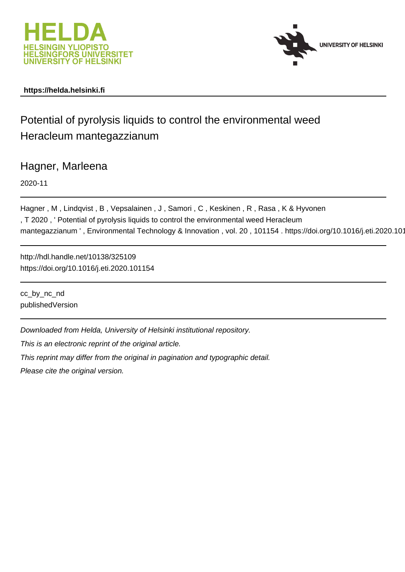



## **https://helda.helsinki.fi**

# Potential of pyrolysis liquids to control the environmental weed Heracleum mantegazzianum

Hagner, Marleena

2020-11

Hagner, M, Lindqvist, B, Vepsalainen, J, Samori, C, Keskinen, R, Rasa, K& Hyvonen , T 2020 , ' Potential of pyrolysis liquids to control the environmental weed Heracleum mantegazzianum ', Environmental Technology & Innovation, vol. 20, 101154. https://doi.org/10.1016/j.eti.2020.101

http://hdl.handle.net/10138/325109 https://doi.org/10.1016/j.eti.2020.101154

cc\_by\_nc\_nd publishedVersion

Downloaded from Helda, University of Helsinki institutional repository.

This is an electronic reprint of the original article.

This reprint may differ from the original in pagination and typographic detail.

Please cite the original version.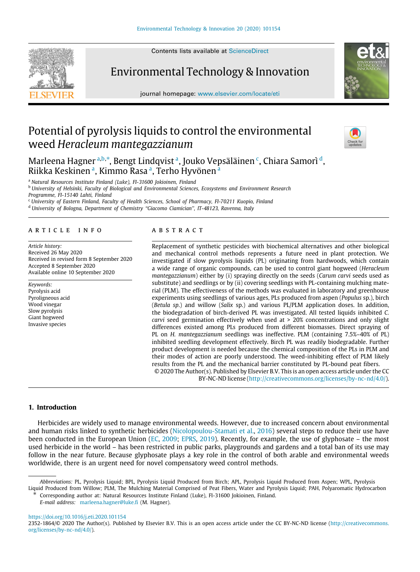Contents lists available at [ScienceDirect](http://www.elsevier.com/locate/eti)

# Environmental Technology & Innovation

journal homepage: [www.elsevier.com/locate/eti](http://www.elsevier.com/locate/eti)

# Potential of pyrolysis liquids to control the environmental weed *Heracleum mantegazzianum*

Marleena Hagner <sup>a,b,∗</sup>, Bengt Lindqvist ª, Jouko Vepsäläinen <sup>c</sup>, Chiara Samorì <sup>d</sup>, Riikka Keskinen <sup>a</sup>, Kimmo Rasa <sup>a</sup>, Terho Hyvönen <sup>a</sup>

<sup>a</sup> *Natural Resources Institute Finland (Luke), FI-31600 Jokioinen, Finland*

<sup>b</sup> *University of Helsinki, Faculty of Biological and Environmental Sciences, Ecosystems and Environment Research Programme, FI-15140 Lahti, Finland*

<sup>c</sup> *University of Eastern Finland, Faculty of Health Sciences, School of Pharmacy, FI-70211 Kuopio, Finland* <sup>d</sup> *University of Bologna, Department of Chemistry ''Giacomo Ciamician'', IT-48123, Ravenna, Italy*

#### a r t i c l e i n f o

*Article history:* Received 26 May 2020 Received in revised form 8 September 2020 Accepted 8 September 2020 Available online 10 September 2020

*Keywords:* Pyrolysis acid Pyroligneous acid Wood vinegar Slow pyrolysis Giant hogweed Invasive species

### a b s t r a c t

Replacement of synthetic pesticides with biochemical alternatives and other biological and mechanical control methods represents a future need in plant protection. We investigated if slow pyrolysis liquids (PL) originating from hardwoods, which contain a wide range of organic compounds, can be used to control giant hogweed (*Heracleum mantegazzianum*) either by (i) spraying directly on the seeds (*Carum carvi* seeds used as substitute) and seedlings or by (ii) covering seedlings with PL-containing mulching material (PLM). The effectiveness of the methods was evaluated in laboratory and greenhouse experiments using seedlings of various ages, PLs produced from aspen (*Populus* sp.), birch (*Betula sp*.) and willow (*Salix* sp.) and various PL/PLM application doses. In addition, the biodegradation of birch-derived PL was investigated. All tested liquids inhibited *C. carvi* seed germination effectively when used at > 20% concentrations and only slight differences existed among PLs produced from different biomasses. Direct spraying of PL on *H. mantegazzianum* seedlings was ineffective. PLM (containing 7.5%–40% of PL) inhibited seedling development effectively. Birch PL was readily biodegradable. Further product development is needed because the chemical composition of the PLs in PLM and their modes of action are poorly understood. The weed-inhibiting effect of PLM likely results from the PL and the mechanical barrier constituted by PL-bound peat fibers. © 2020 The Author(s). Published by Elsevier B.V. This is an open access article under the CC

BY-NC-ND license (<http://creativecommons.org/licenses/by-nc-nd/4.0/>).

#### **1. Introduction**

Herbicides are widely used to manage environmental weeds. However, due to increased concern about environmental and human risks linked to synthetic herbicides (Nicolopoulou-Stamati et al., 2016) several steps to reduce their use have been conducted in the European Union (EC, 2009; EPRS, 2019). Recently, for example, the use of glyphosate – the most used herbicide in the world – has been restricted in public parks, playgrounds and gardens and a total ban of its use may follow in the near future. Because glyphosate plays a key role in the control of both arable and environmental weeds worldwide, there is an urgent need for novel compensatory weed control methods.

∗ Corresponding author at: Natural Resources Institute Finland (Luke), FI-31600 Jokioinen, Finland.

*E-mail address:* [marleena.hagner@luke.fi](mailto:marleena.hagner@luke.fi) (M. Hagner).

<https://doi.org/10.1016/j.eti.2020.101154>







*Abbreviations:* PL, Pyrolysis Liquid; BPL, Pyrolysis Liquid Produced from Birch; APL, Pyrolysis Liquid Produced from Aspen; WPL, Pyrolysis Liquid Produced from Willow; PLM, The Mulching Material Comprised of Peat Fibers, Water and Pyrolysis Liquid; PAH, Polyaromatic Hydrocarbon

<sup>2352-1864/© 2020</sup> The Author(s). Published by Elsevier B.V. This is an open access article under the CC BY-NC-ND license ([http://creativecommons.](http://creativecommons.org/licenses/by-nc-nd/4.0/) [org/licenses/by-nc-nd/4.0/\)](http://creativecommons.org/licenses/by-nc-nd/4.0/).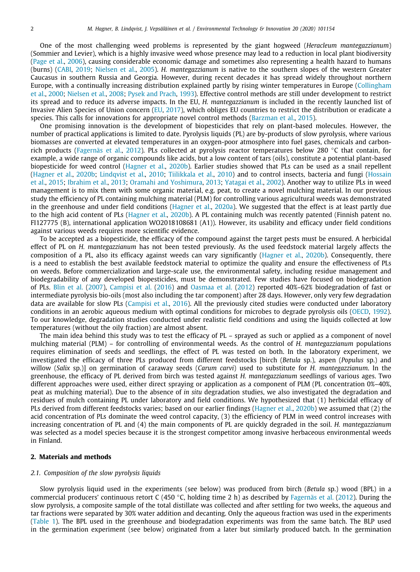One of the most challenging weed problems is represented by the giant hogweed (*Heracleum mantegazzianum*) (Sommier and Levier), which is a highly invasive weed whose presence may lead to a reduction in local plant biodiversity (Page et al., 2006), causing considerable economic damage and sometimes also representing a health hazard to humans (burns) (CABI, 2019; Nielsen et al., 2005). *H. mantegazzianum* is native to the southern slopes of the western Greater Caucasus in southern Russia and Georgia. However, during recent decades it has spread widely throughout northern Europe, with a continually increasing distribution explained partly by rising winter temperatures in Europe (Collingham et al., 2000; Nielsen et al., 2008; Pysek and Prach, 1993). Effective control methods are still under development to restrict its spread and to reduce its adverse impacts. In the EU, *H. mantegazzianum* is included in the recently launched list of Invasive Alien Species of Union concern (EU, 2017), which obliges EU countries to restrict the distribution or eradicate a species. This calls for innovations for appropriate novel control methods (Barzman et al., 2015).

One promising innovation is the development of biopesticides that rely on plant-based molecules. However, the number of practical applications is limited to date. Pyrolysis liquids (PL) are by-products of slow pyrolysis, where various biomasses are converted at elevated temperatures in an oxygen-poor atmosphere into fuel gases, chemicals and carbonrich products (Fagernäs et al., 2012). PLs collected at pyrolysis reactor temperatures below 280 ◦C that contain, for example, a wide range of organic compounds like acids, but a low content of tars (oils), constitute a potential plant-based biopesticide for weed control (Hagner et al., 2020b). Earlier studies showed that PLs can be used as a snail repellent (Hagner et al., 2020b; Lindqvist et al., 2010; Tiilikkala et al., 2010) and to control insects, bacteria and fungi (Hossain et al., 2015; Ibrahim et al., 2013; Oramahi and Yoshimura, 2013; Yatagai et al., 2002). Another way to utilize PLs in weed management is to mix them with some organic material, e.g. peat, to create a novel mulching material. In our previous study the efficiency of PL containing mulching material (PLM) for controlling various agricultural weeds was demonstrated in the greenhouse and under field conditions (Hagner et al., 2020a). We suggested that the effect is at least partly due to the high acid content of PLs (Hagner et al., 2020b). A PL containing mulch was recently patented (Finnish patent no. FI127775 (B), international application WO2018108681 (A1)). However, its usability and efficacy under field conditions against various weeds requires more scientific evidence.

To be accepted as a biopesticide, the efficacy of the compound against the target pests must be ensured. A herbicidal effect of PL on *H. mantegazzianum* has not been tested previously. As the used feedstock material largely affects the composition of a PL, also its efficacy against weeds can vary significantly (Hagner et al., 2020b). Consequently, there is a need to establish the best available feedstock material to optimize the quality and ensure the effectiveness of PLs on weeds. Before commercialization and large-scale use, the environmental safety, including residue management and biodegradability of any developed biopesticides, must be demonstrated. Few studies have focused on biodegradation of PLs. Blin et al. (2007), Campisi et al. (2016) and Oasmaa et al. (2012) reported 40%–62% biodegradation of fast or intermediate pyrolysis bio-oils (most also including the tar component) after 28 days. However, only very few degradation data are available for slow PLs (Campisi et al., 2016). All the previously cited studies were conducted under laboratory conditions in an aerobic aqueous medium with optimal conditions for microbes to degrade pyrolysis oils (OECD, 1992). To our knowledge, degradation studies conducted under realistic field conditions and using the liquids collected at low temperatures (without the oily fraction) are almost absent.

The main idea behind this study was to test the efficacy of PL – sprayed as such or applied as a component of novel mulching material (PLM) – for controlling of environmental weeds. As the control of *H. mantegazzianum* populations requires elimination of seeds and seedlings, the effect of PL was tested on both. In the laboratory experiment, we investigated the efficacy of three PLs produced from different feedstocks [birch (*Betula* sp.), aspen (*Populus* sp.) and willow (*Salix* sp.)] on germination of caraway seeds (*Carum carvi*) used to substitute for *H. mantegazzianum*. In the greenhouse, the efficacy of PL derived from birch was tested against *H. mantegazzianum* seedlings of various ages. Two different approaches were used, either direct spraying or application as a component of PLM (PL concentration 0%–40%, peat as mulching material). Due to the absence of *in situ* degradation studies, we also investigated the degradation and residues of mulch containing PL under laboratory and field conditions. We hypothesized that (1) herbicidal efficacy of PLs derived from different feedstocks varies; based on our earlier findings (Hagner et al., 2020b) we assumed that (2) the acid concentration of PLs dominate the weed control capacity, (3) the efficiency of PLM in weed control increases with increasing concentration of PL and (4) the main components of PL are quickly degraded in the soil. *H. mantegazzianum* was selected as a model species because it is the strongest competitor among invasive herbaceous environmental weeds in Finland.

#### **2. Materials and methods**

#### *2.1. Composition of the slow pyrolysis liquids*

Slow pyrolysis liquid used in the experiments (see below) was produced from birch (*Betula* sp.) wood (BPL) in a commercial producers' continuous retort C (450 °C, holding time 2 h) as described by Fagernäs et al. (2012). During the slow pyrolysis, a composite sample of the total distillate was collected and after settling for two weeks, the aqueous and tar fractions were separated by 30% water addition and decanting. Only the aqueous fraction was used in the experiments (Table 1). The BPL used in the greenhouse and biodegradation experiments was from the same batch. The BLP used in the germination experiment (see below) originated from a later but similarly produced batch. In the germination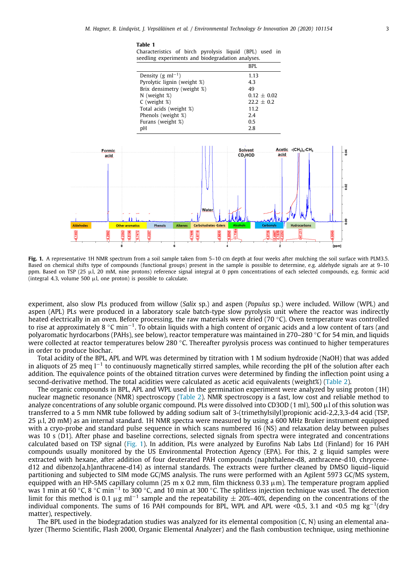#### **Table 1**

Characteristics of birch pyrolysis liquid (BPL) used in seedling experiments and biodegradation analyses.

|                               | BPI.            |
|-------------------------------|-----------------|
| Density (g ml <sup>-1</sup> ) | 1.13            |
| Pyrolytic lignin (weight %)   | 4.3             |
| Brix densimetry (weight %)    | 49              |
| $N$ (weight $\%$ )            | $0.12 \pm 0.02$ |
| $C$ (weight $\%)$             | $22.2 \pm 0.2$  |
| Total acids (weight %)        | 11.2            |
| Phenols (weight %)            | 2.4             |
| Furans (weight %)             | 0.5             |
| рH                            | 2.8             |



**Fig. 1.** A representative 1H NMR spectrum from a soil sample taken from 5–10 cm depth at four weeks after mulching the soil surface with PLM3.5. Based on chemical shifts type of compounds (functional groups) present in the sample is possible to determine, e.g. aldehyde signals are at 9–10 ppm. Based on TSP (25 µl, 20 mM, nine protons) reference signal integral at 0 ppm concentrations of each selected compounds, e.g. formic acid (integral 4.3, volume 500  $\mu$ l, one proton) is possible to calculate.

experiment, also slow PLs produced from willow (*Salix* sp.) and aspen (*Populus* sp.) were included. Willow (WPL) and aspen (APL) PLs were produced in a laboratory scale batch-type slow pyrolysis unit where the reactor was indirectly heated electrically in an oven. Before processing, the raw materials were dried (70 ◦C). Oven temperature was controlled to rise at approximately 8 °C min<sup>−1</sup>. To obtain liquids with a high content of organic acids and a low content of tars (and polyaromatic hyrdocarbons (PAHs), see below), reactor temperature was maintained in 270–280 ◦C for 54 min, and liquids were collected at reactor temperatures below 280 °C. Thereafter pyrolysis process was continued to higher temperatures in order to produce biochar.

Total acidity of the BPL, APL and WPL was determined by titration with 1 M sodium hydroxide (NaOH) that was added in aliquots of 25 meq l<sup>−1</sup> to continuously magnetically stirred samples, while recording the pH of the solution after each addition. The equivalence points of the obtained titration curves were determined by finding the inflection point using a second-derivative method. The total acidities were calculated as acetic acid equivalents (weight%) (Table 2).

The organic compounds in BPL, APL and WPL used in the germination experiment were analyzed by using proton (1H) nuclear magnetic resonance (NMR) spectroscopy (Table 2). NMR spectroscopy is a fast, low cost and reliable method to analyze concentrations of any soluble organic compound. PLs were dissolved into CD3OD (1 ml), 500 µl of this solution was transferred to a 5 mm NMR tube followed by adding sodium salt of 3-(trimethylsilyl)propionic acid-2,2,3,3-d4 acid (TSP,  $25 \mu$ , 20 mM) as an internal standard. 1H NMR spectra were measured by using a 600 MHz Bruker instrument equipped with a cryo-probe and standard pulse sequence in which scans numbered 16 (NS) and relaxation delay between pulses was 10 s (D1). After phase and baseline corrections, selected signals from spectra were integrated and concentrations calculated based on TSP signal (Fig. 1). In addition, PLs were analyzed by Eurofins Nab Labs Ltd (Finland) for 16 PAH compounds usually monitored by the US Environmental Protection Agency (EPA). For this, 2 g liquid samples were extracted with hexane, after addition of four deuterated PAH compounds (naphthalene-d8, anthracene-d10, chrycened12 and dibenzo[a,h]anthracene-d14) as internal standards. The extracts were further cleaned by DMSO liquid–liquid partitioning and subjected to SIM mode GC/MS analysis. The runs were performed with an Agilent 5973 GC/MS system, equipped with an HP-5MS capillary column (25 m x 0.2 mm, film thickness 0.33  $\mu$ m). The temperature program applied was 1 min at 60 °C, 8 °C min<sup>−1</sup> to 300 °C, and 10 min at 300 °C. The splitless injection technique was used. The detection limit for this method is 0.1 µg ml<sup>-1</sup> sample and the repeatability  $\pm$  20%–40%, depending on the concentrations of the individual components. The sums of 16 PAH compounds for BPL, WPL and APL were <0.5, 3.1 and <0.5 mg kg−<sup>1</sup> (dry matter), respectively.

The BPL used in the biodegradation studies was analyzed for its elemental composition (C, N) using an elemental analyzer (Thermo Scientific, Flash 2000, Organic Elemental Analyzer) and the flash combustion technique, using methionine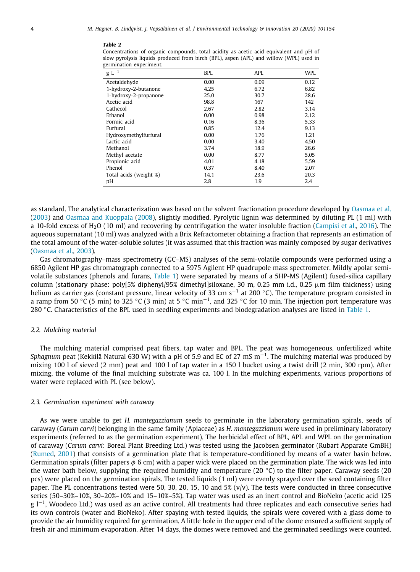#### **Table 2**

Concentrations of organic compounds, total acidity as acetic acid equivalent and pH of slow pyrolysis liquids produced from birch (BPL), aspen (APL) and willow (WPL) used in germination experiment.

| $g L^{-1}$             | BPL  | APL  | WPL  |
|------------------------|------|------|------|
| Acetaldehyde           | 0.00 | 0.09 | 0.12 |
| 1-hydroxy-2-butanone   | 4.25 | 6.72 | 6.82 |
| 1-hydroxy-2-propanone  | 25.0 | 30.7 | 28.6 |
| Acetic acid            | 98.8 | 167  | 142  |
| Cathecol               | 2.67 | 2.82 | 3.14 |
| Ethanol                | 0.00 | 0.98 | 2.12 |
| Formic acid            | 0.16 | 8.36 | 5.33 |
| Furfural               | 0.85 | 12.4 | 9.13 |
| Hydroxymethylfurfural  | 0.00 | 1.76 | 1.21 |
| Lactic acid            | 0.00 | 3.40 | 4.50 |
| Methanol               | 3.74 | 18.9 | 26.6 |
| Methyl acetate         | 0.00 | 8.77 | 5.05 |
| Propionic acid         | 4.01 | 4.18 | 5.59 |
| Phenol                 | 0.37 | 8.40 | 2.07 |
| Total acids (weight %) | 14.1 | 23.6 | 20.3 |
| рH                     | 2.8  | 1.9  | 2.4  |

as standard. The analytical characterization was based on the solvent fractionation procedure developed by Oasmaa et al. (2003) and Oasmaa and Kuoppala (2008), slightly modified. Pyrolytic lignin was determined by diluting PL (1 ml) with a 10-fold excess of H2O (10 ml) and recovering by centrifugation the water insoluble fraction (Campisi et al., 2016). The aqueous supernatant (10 ml) was analyzed with a Brix Refractometer obtaining a fraction that represents an estimation of the total amount of the water-soluble solutes (it was assumed that this fraction was mainly composed by sugar derivatives (Oasmaa et al., 2003).

Gas chromatography–mass spectrometry (GC–MS) analyses of the semi-volatile compounds were performed using a 6850 Agilent HP gas chromatograph connected to a 5975 Agilent HP quadrupole mass spectrometer. Mildly apolar semivolatile substances (phenols and furans, Table 1) were separated by means of a 5HP-MS (Agilent) fused-silica capillary column (stationary phase: poly[5% diphenyl/95% dimethyl]siloxane, 30 m, 0.25 mm i.d., 0.25  $\mu$ m film thickness) using helium as carrier gas (constant pressure, linear velocity of 33 cm s<sup>−1</sup> at 200 °C). The temperature program consisted in a ramp from 50 °C (5 min) to 325 °C (3 min) at 5 °C min<sup>-1</sup>, and 325 °C for 10 min. The injection port temperature was 280 ◦C. Characteristics of the BPL used in seedling experiments and biodegradation analyses are listed in Table 1.

#### *2.2. Mulching material*

The mulching material comprised peat fibers, tap water and BPL. The peat was homogeneous, unfertilized white *Sphagnum* peat (Kekkilä Natural 630 W) with a pH of 5.9 and EC of 27 mS m−<sup>1</sup> . The mulching material was produced by mixing 100 l of sieved (2 mm) peat and 100 l of tap water in a 150 l bucket using a twist drill (2 min, 300 rpm). After mixing, the volume of the final mulching substrate was ca. 100 l. In the mulching experiments, various proportions of water were replaced with PL (see below).

#### *2.3. Germination experiment with caraway*

As we were unable to get *H. mantegazzianum* seeds to germinate in the laboratory germination spirals, seeds of caraway (*Carum carvi*) belonging in the same family (Apiaceae) as *H. mantegazzianum* were used in preliminary laboratory experiments (referred to as the germination experiment). The herbicidal effect of BPL, APL and WPL on the germination of caraway (*Carum carvi*: Boreal Plant Breeding Ltd.) was tested using the Jacobsen germinator (Rubart Apparate GmBH) (Rumed, 2001) that consists of a germination plate that is temperature-conditioned by means of a water basin below. Germination spirals (filter papers  $\phi$  6 cm) with a paper wick were placed on the germination plate. The wick was led into the water bath below, supplying the required humidity and temperature (20  $°C$ ) to the filter paper. Caraway seeds (20 pcs) were placed on the germination spirals. The tested liquids (1 ml) were evenly sprayed over the seed containing filter paper. The PL concentrations tested were 50, 30, 20, 15, 10 and 5%  $(v/v)$ . The tests were conducted in three consecutive series (50–30%–10%, 30–20%–10% and 15–10%–5%). Tap water was used as an inert control and BioNeko (acetic acid 125 g l<sup>−1</sup>, Woodeco Ltd.) was used as an active control. All treatments had three replicates and each consecutive series had its own controls (water and BioNeko). After spaying with tested liquids, the spirals were covered with a glass dome to provide the air humidity required for germination. A little hole in the upper end of the dome ensured a sufficient supply of fresh air and minimum evaporation. After 14 days, the domes were removed and the germinated seedlings were counted.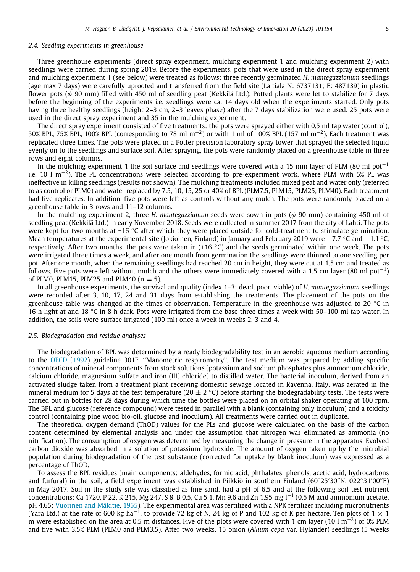#### *2.4. Seedling experiments in greenhouse*

Three greenhouse experiments (direct spray experiment, mulching experiment 1 and mulching experiment 2) with seedlings were carried during spring 2019. Before the experiments, pots that were used in the direct spray experiment and mulching experiment 1 (see below) were treated as follows: three recently germinated *H. mantegazzianum* seedlings (age max 7 days) were carefully uprooted and transferred from the field site (Laitiala N: 6737131; E: 487139) in plastic flower pots ( $\phi$  90 mm) filled with 450 ml of seedling peat (Kekkilä Ltd.). Potted plants were let to stabilize for 7 days before the beginning of the experiments i.e. seedlings were ca. 14 days old when the experiments started. Only pots having three healthy seedlings (height 2–3 cm, 2–3 leaves phase) after the 7 days stabilization were used. 25 pots were used in the direct spray experiment and 35 in the mulching experiment.

The direct spray experiment consisted of five treatments: the pots were sprayed either with 0.5 ml tap water (control), 50% BPL, 75% BPL, 100% BPL (corresponding to 78 ml m−<sup>2</sup> ) or with 1 ml of 100% BPL (157 ml m−<sup>2</sup> ). Each treatment was replicated three times. The pots were placed in a Potter precision laboratory spray tower that sprayed the selected liquid evenly on to the seedlings and surface soil. After spraying, the pots were randomly placed on a greenhouse table in three rows and eight columns.

In the mulching experiment 1 the soil surface and seedlings were covered with a 15 mm layer of PLM (80 ml pot<sup>-1</sup> i.e. 10 l m−<sup>2</sup> ). The PL concentrations were selected according to pre-experiment work, where PLM with 5% PL was ineffective in killing seedlings (results not shown). The mulching treatments included mixed peat and water only (referred to as control or PLM0) and water replaced by 7.5, 10, 15, 25 or 40% of BPL (PLM7.5, PLM15, PLM25, PLM40). Each treatment had five replicates. In addition, five pots were left as controls without any mulch. The pots were randomly placed on a greenhouse table in 3 rows and 11–12 columns.

In the mulching experiment 2, three *H. mantegazzianum* seeds were sown in pots (φ 90 mm) containing 450 ml of seedling peat (Kekkilä Ltd.) in early November 2018. Seeds were collected in summer 2017 from the city of Lahti. The pots were kept for two months at +16 ℃ after which they were placed outside for cold-treatment to stimulate germination. Mean temperatures at the experimental site (Jokioinen, Finland) in January and February 2019 were −7.7 °C and −1.1 °C, respectively. After two months, the pots were taken in  $(+16 \degree C)$  and the seeds germinated within one week. The pots were irrigated three times a week, and after one month from germination the seedlings were thinned to one seedling per pot. After one month, when the remaining seedlings had reached 20 cm in height, they were cut at 1.5 cm and treated as follows. Five pots were left without mulch and the others were immediately covered with a 1.5 cm layer (80 ml pot−<sup>1</sup> ) of PLM0, PLM15, PLM25 and PLM40 ( $n = 5$ ).

In all greenhouse experiments, the survival and quality (index 1–3: dead, poor, viable) of *H. mantegazzianum* seedlings were recorded after 3, 10, 17, 24 and 31 days from establishing the treatments. The placement of the pots on the greenhouse table was changed at the times of observation. Temperature in the greenhouse was adjusted to 20  $°C$  in 16 h light at and 18 ◦C in 8 h dark. Pots were irrigated from the base three times a week with 50–100 ml tap water. In addition, the soils were surface irrigated (100 ml) once a week in weeks 2, 3 and 4.

#### *2.5. Biodegradation and residue analyses*

The biodegradation of BPL was determined by a ready biodegradability test in an aerobic aqueous medium according to the OECD (1992) guideline 301F, ''Manometric respirometry''. The test medium was prepared by adding specific concentrations of mineral components from stock solutions (potassium and sodium phosphates plus ammonium chloride, calcium chloride, magnesium sulfate and iron (III) chloride) to distilled water. The bacterial inoculum, derived from an activated sludge taken from a treatment plant receiving domestic sewage located in Ravenna, Italy, was aerated in the mineral medium for 5 days at the test temperature (20  $\pm$  2 °C) before starting the biodegradability tests. The tests were carried out in bottles for 28 days during which time the bottles were placed on an orbital shaker operating at 100 rpm. The BPL and glucose (reference compound) were tested in parallel with a blank (containing only inoculum) and a toxicity control (containing pine wood bio-oil, glucose and inoculum). All treatments were carried out in duplicate.

The theoretical oxygen demand (ThOD) values for the PLs and glucose were calculated on the basis of the carbon content determined by elemental analysis and under the assumption that nitrogen was eliminated as ammonia (no nitrification). The consumption of oxygen was determined by measuring the change in pressure in the apparatus. Evolved carbon dioxide was absorbed in a solution of potassium hydroxide. The amount of oxygen taken up by the microbial population during biodegradation of the test substance (corrected for uptake by blank inoculum) was expressed as a percentage of ThOD.

To assess the BPL residues (main components: aldehydes, formic acid, phthalates, phenols, acetic acid, hydrocarbons and furfural) in the soil, a field experiment was established in Piikkiö in southern Finland (60◦25′30′′N, 022◦31′00′′E) in May 2017. Soil in the study site was classified as fine sand, had a pH of 6.5 and at the following soil test nutrient concentrations: Ca 1720, P 22, K 215, Mg 247, S 8, B 0.5, Cu 5.1, Mn 9.6 and Zn 1.95 mg l−<sup>1</sup> (0.5 M acid ammonium acetate, pH 4.65; Vuorinen and Mäkitie, 1955). The experimental area was fertilized with a NPK fertilizer including micronutrients (Yara Ltd.) at the rate of 600 kg ha $^{-1}$ , to provide 72 kg of N, 24 kg of P and 102 kg of K per hectare. Ten plots of 1  $\times$  1 m were established on the area at 0.5 m distances. Five of the plots were covered with 1 cm layer (10 l m<sup>-2</sup>) of 0% PLM and five with 3.5% PLM (PLM0 and PLM3.5). After two weeks, 15 onion (*Allium cepa* var*.* Hylander) seedlings (5 weeks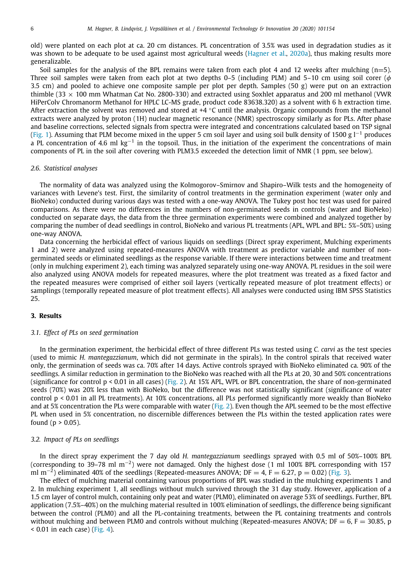old) were planted on each plot at ca. 20 cm distances. PL concentration of 3.5% was used in degradation studies as it was shown to be adequate to be used against most agricultural weeds (Hagner et al., 2020a), thus making results more generalizable.

Soil samples for the analysis of the BPL remains were taken from each plot 4 and 12 weeks after mulching  $(n=5)$ . Three soil samples were taken from each plot at two depths 0–5 (including PLM) and 5–10 cm using soil corer ( $\phi$ 3.5 cm) and pooled to achieve one composite sample per plot per depth. Samples (50 g) were put on an extraction thimble (33  $\times$  100 mm Whatman Cat No. 2800-330) and extracted using Soxhlet apparatus and 200 ml methanol (VWR HiPerColv Chromanorm Methanol for HPLC LC-MS grade, product code 83638.320) as a solvent with 6 h extraction time. After extraction the solvent was removed and stored at  $+4$   $^{\circ}$ C until the analysis. Organic compounds from the methanol extracts were analyzed by proton (1H) nuclear magnetic resonance (NMR) spectroscopy similarly as for PLs. After phase and baseline corrections, selected signals from spectra were integrated and concentrations calculated based on TSP signal (Fig. 1). Assuming that PLM become mixed in the upper 5 cm soil layer and using soil bulk density of 1500 g  $l^{-1}$  produces a PL concentration of 4.6 ml  $kg^{-1}$  in the topsoil. Thus, in the initiation of the experiment the concentrations of main components of PL in the soil after covering with PLM3.5 exceeded the detection limit of NMR (1 ppm, see below).

#### *2.6. Statistical analyses*

The normality of data was analyzed using the Kolmogorov–Smirnov and Shapiro–Wilk tests and the homogeneity of variances with Levene's test. First, the similarity of control treatments in the germination experiment (water only and BioNeko) conducted during various days was tested with a one-way ANOVA. The Tukey post hoc test was used for paired comparisons. As there were no differences in the numbers of non-germinated seeds in controls (water and BioNeko) conducted on separate days, the data from the three germination experiments were combined and analyzed together by comparing the number of dead seedlings in control, BioNeko and various PL treatments (APL, WPL and BPL: 5%–50%) using one-way ANOVA.

Data concerning the herbicidal effect of various liquids on seedlings (Direct spray experiment, Mulching experiments 1 and 2) were analyzed using repeated-measures ANOVA with treatment as predictor variable and number of nongerminated seeds or eliminated seedlings as the response variable. If there were interactions between time and treatment (only in mulching experiment 2), each timing was analyzed separately using one-way ANOVA. PL residues in the soil were also analyzed using ANOVA models for repeated measures, where the plot treatment was treated as a fixed factor and the repeated measures were comprised of either soil layers (vertically repeated measure of plot treatment effects) or samplings (temporally repeated measure of plot treatment effects). All analyses were conducted using IBM SPSS Statistics 25.

#### **3. Results**

### *3.1. Effect of PLs on seed germination*

In the germination experiment, the herbicidal effect of three different PLs was tested using *C. carvi* as the test species (used to mimic *H. mantegazzianum*, which did not germinate in the spirals). In the control spirals that received water only, the germination of seeds was ca. 70% after 14 days. Active controls sprayed with BioNeko eliminated ca. 90% of the seedlings. A similar reduction in germination to the BioNeko was reached with all the PLs at 20, 30 and 50% concentrations (significance for control p < 0.01 in all cases) (Fig. 2). At 15% APL, WPL or BPL concentration, the share of non-germinated seeds (70%) was 20% less than with BioNeko, but the difference was not statistically significant (significance of water control p < 0.01 in all PL treatments). At 10% concentrations, all PLs performed significantly more weakly than BioNeko and at 5% concentration the PLs were comparable with water (Fig. 2). Even though the APL seemed to be the most effective PL when used in 5% concentration, no discernible differences between the PLs within the tested application rates were found ( $p > 0.05$ ).

#### *3.2. Impact of PLs on seedlings*

In the direct spray experiment the 7 day old *H. mantegazzianum* seedlings sprayed with 0.5 ml of 50%–100% BPL (corresponding to 39–78 ml m−<sup>2</sup> ) were not damaged. Only the highest dose (1 ml 100% BPL corresponding with 157 ml m<sup>−2</sup>) eliminated 40% of the seedlings (Repeated-measures ANOVA; DF = 4, F = 6.27, p = 0.02) (Fig. 3).

The effect of mulching material containing various proportions of BPL was studied in the mulching experiments 1 and 2. In mulching experiment 1, all seedlings without mulch survived through the 31 day study. However, application of a 1.5 cm layer of control mulch, containing only peat and water (PLM0), eliminated on average 53% of seedlings. Further, BPL application (7.5%–40%) on the mulching material resulted in 100% elimination of seedlings, the difference being significant between the control (PLM0) and all the PL-containing treatments, between the PL containing treatments and controls without mulching and between PLM0 and controls without mulching (Repeated-measures ANOVA;  $DF = 6$ ,  $F = 30.85$ , p < 0.01 in each case) (Fig. 4).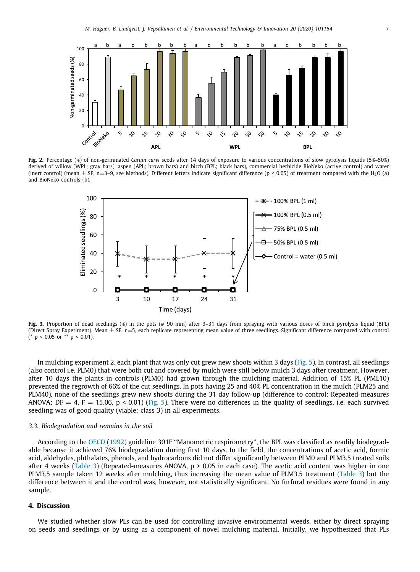

**Fig. 2.** Percentage (%) of non-germinated *Carum carvi* seeds after 14 days of exposure to various concentrations of slow pyrolysis liquids (5%–50%) derived of willow (WPL; gray bars), aspen (APL; brown bars) and birch (BPL; black bars), commercial herbicide BioNeko (active control) and water (inert control) (mean  $\pm$  SE, n=3-9, see Methods). Different letters indicate significant difference (p < 0.05) of treatment compared with the H<sub>2</sub>O (a) and BioNeko controls (b).



**Fig. 3.** Proportion of dead seedlings (%) in the pots (φ 90 mm) after 3–31 days from spraying with various doses of birch pyrolysis liquid (BPL) (Direct Spray Experiment). Mean  $\pm$  SE, n=5, each replicate representing mean value of three seedlings. Significant difference compared with control (\*  $p < 0.05$  or \*\*  $p < 0.01$ ).

In mulching experiment 2, each plant that was only cut grew new shoots within 3 days (Fig. 5). In contrast, all seedlings (also control i.e. PLM0) that were both cut and covered by mulch were still below mulch 3 days after treatment. However, after 10 days the plants in controls (PLM0) had grown through the mulching material. Addition of 15% PL (PML10) prevented the regrowth of 66% of the cut seedlings. In pots having 25 and 40% PL concentration in the mulch (PLM25 and PLM40), none of the seedlings grew new shoots during the 31 day follow-up (difference to control: Repeated-measures ANOVA; DF = 4, F = 15.06, p < 0.01) (Fig. 5). There were no differences in the quality of seedlings, i.e. each survived seedling was of good quality (viable: class 3) in all experiments.

#### *3.3. Biodegradation and remains in the soil*

According to the OECD (1992) guideline 301F ''Manometric respirometry'', the BPL was classified as readily biodegradable because it achieved 76% biodegradation during first 10 days. In the field, the concentrations of acetic acid, formic acid, aldehydes, phthalates, phenols, and hydrocarbons did not differ significantly between PLM0 and PLM3.5 treated soils after 4 weeks (Table 3) (Repeated-measures ANOVA,  $p > 0.05$  in each case). The acetic acid content was higher in one PLM3.5 sample taken 12 weeks after mulching, thus increasing the mean value of PLM3.5 treatment (Table 3) but the difference between it and the control was, however, not statistically significant. No furfural residues were found in any sample.

### **4. Discussion**

We studied whether slow PLs can be used for controlling invasive environmental weeds, either by direct spraying on seeds and seedlings or by using as a component of novel mulching material. Initially, we hypothesized that PLs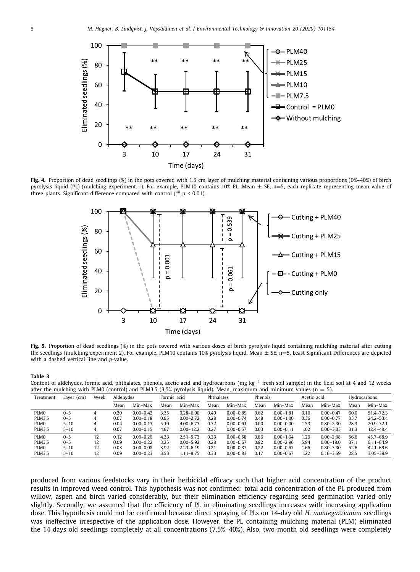

**Fig. 4.** Proportion of dead seedlings (%) in the pots covered with 1.5 cm layer of mulching material containing various proportions (0%–40%) of birch pyrolysis liquid (PL) (mulching experiment 1). For example, PLM10 contains 10% PL. Mean  $\pm$  SE, n=5, each replicate representing mean value of three plants. Significant difference compared with control  $(* p < 0.01)$ .



Fig. 5. Proportion of dead seedlings (%) in the pots covered with various doses of birch pyrolysis liquid containing mulching material after cutting the seedlings (mulching experiment 2). For example, PLM10 contains 10% pyrolysis liquid. Mean ± SE, n=5. Least Significant Differences are depicted with a dashed vertical line and *p*-value.

#### **Table 3**

Content of aldehydes, formic acid, phthalates, phenols, acetic acid and hydrocarbons (mg kg<sup>-1</sup> fresh soil sample) in the field soil at 4 and 12 weeks after the mulching with PLM0 (control) and PLM3.5 (3.5% pyrolysis liquid). Mean, maximum and minimum values ( $n = 5$ ).

| Treatment        | Layer $(cm)$ | Week | Aldehydes |               | Formic acid |               | Phthalates |               | Phenols |               | Acetic acid |               | Hydrocarbons |               |
|------------------|--------------|------|-----------|---------------|-------------|---------------|------------|---------------|---------|---------------|-------------|---------------|--------------|---------------|
|                  |              |      | Mean      | Min-Max       | Mean        | Min-Max       | Mean       | Min-Max       | Mean    | Min-Max       | Mean        | Min-Max       | Mean         | Min-Max       |
| PLM <sub>0</sub> | $0 - 5$      | 4    | 0.20      | $0.00 - 0.42$ | 3.35        | $0.28 - 6.90$ | 0.40       | $0.00 - 0.89$ | 0.62    | $0.00 - 1.81$ | 0.16        | $0.00 - 0.47$ | 60.0         | 51.4-72.3     |
| <b>PLM3.5</b>    | $0 - 5$      | 4    | 0.07      | $0.00 - 0.18$ | 0.95        | $0.00 - 2.72$ | 0.28       | $0.00 - 0.74$ | 0.48    | $0.00 - 1.00$ | 0.36        | $0.00 - 0.77$ | 33.7         | $24.2 - 53.4$ |
| PLM <sub>0</sub> | $5 - 10$     | 4    | 0.04      | $0.00 - 0.13$ | 5.19        | $4.00 - 6.73$ | 0.32       | $0.00 - 0.61$ | 0.00    | $0.00 - 0.00$ | 1.53        | $0.80 - 2.30$ | 28.3         | $20.9 - 32.1$ |
| <b>PLM3.5</b>    | $5 - 10$     | 4    | 0.07      | $0.00 - 0.15$ | 4.67        | $0.00 - 12.2$ | 0.27       | $0.00 - 0.57$ | 0.03    | $0.00 - 0.11$ | 1.02        | $0.00 - 3.03$ | 31.3         | 12.4-48.4     |
| PLM0             | $0 - 5$      | 12   | 0.12      | $0.00 - 0.26$ | 4.33        | $2.51 - 5.73$ | 0.33       | $0.00 - 0.58$ | 0.86    | $0.00 - 1.64$ | .29         | $0.00 - 2.08$ | 56.6         | $45.7 - 68.9$ |
| <b>PLM3.5</b>    | $0 - 5$      | 12   | 0.09      | $0.00 - 0.22$ | 3.25        | $0.00 - 5.92$ | 0.28       | $0.00 - 0.67$ | 0.82    | $0.00 - 2.96$ | 5.94        | $0.00 - 18.0$ | 37.1         | $6.11 - 64.9$ |
| PLM <sub>0</sub> | $5 - 10$     | 12   | 0.03      | $0.00 - 0.08$ | 3.92        | $2.23 - 6.19$ | 0.21       | $0.00 - 0.37$ | 0.22    | $0.00 - 0.67$ | .66         | $0.80 - 3.30$ | 52.6         | $42.1 - 69.6$ |
| <b>PLM3.5</b>    | $5 - 10$     | 12   | 0.09      | $0.00 - 0.23$ | 3.53        | $1.11 - 8.75$ | 0.33       | $0.00 - 0.83$ | 0.17    | $0.00 - 0.67$ | 1.22        | $0.16 - 3.59$ | 28.5         | $3.05 - 39.9$ |

produced from various feedstocks vary in their herbicidal efficacy such that higher acid concentration of the product results in improved weed control. This hypothesis was not confirmed: total acid concentration of the PL produced from willow, aspen and birch varied considerably, but their elimination efficiency regarding seed germination varied only slightly. Secondly, we assumed that the efficiency of PL in eliminating seedlings increases with increasing application dose. This hypothesis could not be confirmed because direct spraying of PLs on 14-day old *H. mantegazzianum* seedlings was ineffective irrespective of the application dose. However, the PL containing mulching material (PLM) eliminated the 14 days old seedlings completely at all concentrations (7.5%–40%). Also, two-month old seedlings were completely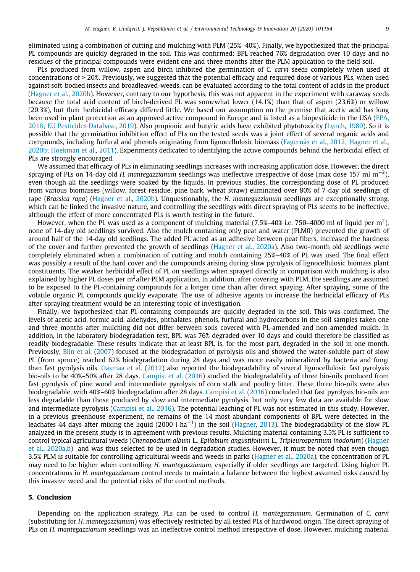eliminated using a combination of cutting and mulching with PLM (25%–40%). Finally, we hypothesized that the principal PL compounds are quickly degraded in the soil. This was confirmed: BPL reached 76% degradation over 10 days and no residues of the principal compounds were evident one and three months after the PLM application to the field soil.

PLs produced from willow, aspen and birch inhibited the germination of *C. carvi* seeds completely when used at concentrations of > 20%. Previously, we suggested that the potential efficacy and required dose of various PLs, when used against soft-bodied insects and broadleaved-weeds, can be evaluated according to the total content of acids in the product (Hagner et al., 2020b). However, contrary to our hypothesis, this was not apparent in the experiment with caraway seeds because the total acid content of birch-derived PL was somewhat lower (14.1%) than that of aspen (23.6%) or willow (20.3%), but their herbicidal efficacy differed little. We based our assumption on the premise that acetic acid has long been used in plant protection as an approved active compound in Europe and is listed as a biopesticide in the USA (EPA, 2018; EU Pesticides Database, 2019). Also propionic and butyric acids have exhibited phytotoxicity (Lynch, 1980). So it is possible that the germination inhibition effect of PLs on the tested seeds was a joint effect of several organic acids and compounds, including furfural and phenols originating from lignocellulosic biomass (Fagernäs et al., 2012; Hagner et al., 2020b; Hoekman et al., 2011). Experiments dedicated to identifying the active compounds behind the herbicidal effect of PLs are strongly encouraged.

We assumed that efficacy of PLs in eliminating seedlings increases with increasing application dose. However, the direct spraying of PLs on 14-day old *H. mantegazzianum* seedlings was ineffective irrespective of dose (max dose 157 ml m−<sup>2</sup> ), even though all the seedlings were soaked by the liquids. In previous studies, the corresponding dose of PL produced from various biomasses (willow, forest residue, pine bark, wheat straw) eliminated over 80% of 7-day old seedlings of rape (*Brassica rapa*) (Hagner et al., 2020b). Unquestionably, the *H. mantegazzianum* seedlings are exceptionally strong, which can be linked the invasive nature, and controlling the seedlings with direct spraying of PLs seems to be ineffective, although the effect of more concentrated PLs is worth testing in the future.

However, when the PL was used as a component of mulching material (7.5%–40% i.e. 750–4000 ml of liquid per m<sup>2</sup>), none of 14-day old seedlings survived. Also the mulch containing only peat and water (PLM0) prevented the growth of around half of the 14-day old seedlings. The added PL acted as an adhesive between peat fibers, increased the hardness of the cover and further prevented the growth of seedlings (Hagner et al., 2020a). Also two-month old seedlings were completely eliminated when a combination of cutting and mulch containing 25%–40% of PL was used. The final effect was possibly a result of the hard cover and the compounds arising during slow pyrolysis of lignocellulosic biomass plant constituents. The weaker herbicidal effect of PL on seedlings when sprayed directly in comparison with mulching is also explained by higher PL doses per m<sup>2</sup>after PLM application. In addition, after covering with PLM, the seedlings are assumed to be exposed to the PL-containing compounds for a longer time than after direct spaying. After spraying, some of the volatile organic PL compounds quickly evaporate. The use of adhesive agents to increase the herbicidal efficacy of PLs after spraying treatment would be an interesting topic of investigation.

Finally, we hypothesized that PL-containing compounds are quickly degraded in the soil. This was confirmed. The levels of acetic acid, formic acid, aldehydes, phthalates, phenols, furfural and hydrocarbons in the soil samples taken one and three months after mulching did not differ between soils covered with PL-amended and non-amended mulch. In addition, in the laboratory biodegradation test, BPL was 76% degraded over 10 days and could therefore be classified as readily biodegradable. These results indicate that at least BPL is, for the most part, degraded in the soil in one month. Previously, Blin et al. (2007) focused at the biodegradation of pyrolysis oils and showed the water-soluble part of slow PL (from spruce) reached 62% biodegradation during 28 days and was more easily mineralized by bacteria and fungi than fast pyrolysis oils. Oasmaa et al. (2012) also reported the biodegradability of several lignocellulosic fast pyrolysis bio-oils to be 40%–50% after 28 days. Campisi et al. (2016) studied the biodegradability of three bio-oils produced from fast pyrolysis of pine wood and intermediate pyrolysis of corn stalk and poultry litter. These three bio-oils were also biodegradable, with 40%–60% biodegradation after 28 days. Campisi et al. (2016) concluded that fast pyrolysis bio-oils are less degradable than those produced by slow and intermediate pyrolysis, but only very few data are available for slow and intermediate pyrolysis (Campisi et al., 2016). The potential leaching of PL was not estimated in this study. However, in a previous greenhouse experiment, no remains of the 14 most abundant components of BPL were detected in the leachates 44 days after mixing the liquid (2000 l ha<sup>-1</sup>) in the soil (Hagner, 2013). The biodegradability of the slow PL analyzed in the present study is in agreement with previous results. Mulching material containing 3.5% PL is sufficient to control typical agricultural weeds (*Chenopodium album* L., *Epilobium angustifolium* L., *Tripleurospermum inodorum*) (Hagner et al., 2020a,b) and was thus selected to be used in degradation studies. However, it must be noted that even though 3.5% PLM is suitable for controlling agricultural weeds and weeds in parks (Hagner et al., 2020a), the concentration of PL may need to be higher when controlling *H. mantegazzianum*, especially if older seedlings are targeted. Using higher PL concentrations in *H. mantegazzianum* control needs to maintain a balance between the highest assumed risks caused by this invasive weed and the potential risks of the control methods.

#### **5. Conclusion**

Depending on the application strategy, PLs can be used to control *H. mantegazzianum.* Germination of *C. carvi* (substituting for *H. mantegazzianum*) was effectively restricted by all tested PLs of hardwood origin. The direct spraying of PLs on *H. mantegazzianum* seedlings was an ineffective control method irrespective of dose. However, mulching material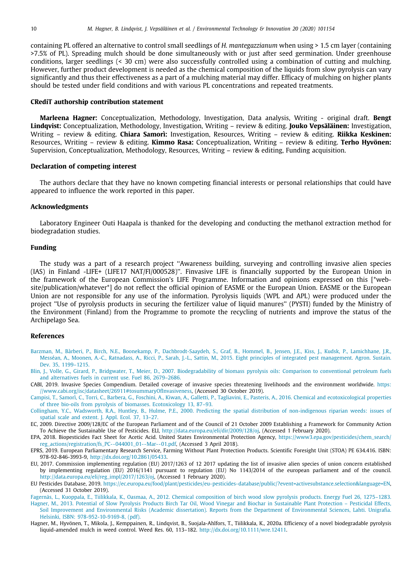containing PL offered an alternative to control small seedlings of *H. mantegazzianum* when using > 1.5 cm layer (containing >7.5% of PL). Spreading mulch should be done simultaneously with or just after seed germination. Under greenhouse conditions, larger seedlings (< 30 cm) were also successfully controlled using a combination of cutting and mulching. However, further product development is needed as the chemical composition of the liquids from slow pyrolysis can vary significantly and thus their effectiveness as a part of a mulching material may differ. Efficacy of mulching on higher plants should be tested under field conditions and with various PL concentrations and repeated treatments.

#### **CRediT authorship contribution statement**

**Marleena Hagner:** Conceptualization, Methodology, Investigation, Data analysis, Writing - original draft. **Bengt Lindqvist:** Conceptualization, Methodology, Investigation, Writing – review & editing. **Jouko Vepsäläinen:** Investigation, Writing – review & editing. **Chiara Samorì:** Investigation, Resources, Writing – review & editing. **Riikka Keskinen:** Resources, Writing – review & editing. **Kimmo Rasa:** Conceptualization, Writing – review & editing. **Terho Hyvönen:** Supervision, Conceptualization, Methodology, Resources, Writing – review & editing, Funding acquisition.

#### **Declaration of competing interest**

The authors declare that they have no known competing financial interests or personal relationships that could have appeared to influence the work reported in this paper.

#### **Acknowledgments**

Laboratory Engineer Outi Haapala is thanked for the developing and conducting the methanol extraction method for biodegradation studies.

#### **Funding**

The study was a part of a research project ''Awareness building, surveying and controlling invasive alien species (IAS) in Finland -LIFE+ (LIFE17 NAT/FI/000528)''. Finvasive LIFE is financially supported by the European Union in the framework of the European Commission's LIFE Programme. Information and opinions expressed on this [\*website/publication/whatever\*] do not reflect the official opinion of EASME or the European Union. EASME or the European Union are not responsible for any use of the information. Pyrolysis liquids (WPL and APL) were produced under the project ''Use of pyrolysis products in securing the fertilizer value of liquid manures'' (PYSTI) funded by the Ministry of the Environment (Finland) from the Programme to promote the recycling of nutrients and improve the status of the Archipelago Sea.

#### **References**

- [Barzman, M., Bàrberi, P., Birch, N.E., Boonekamp, P., Dachbrodt-Saaydeh, S., Graf, B., Hommel, B., Jensen, J.E., Kiss, J., Kudsk, P., Lamichhane, J.R.,](http://refhub.elsevier.com/S2352-1864(20)31454-1/sb1) [Messéan, A., Moonen, A.-C., Ratnadass, A., Ricci, P., Sarah, J.-L., Sattin, M., 2015. Eight principles of integrated pest management. Agron. Sustain.](http://refhub.elsevier.com/S2352-1864(20)31454-1/sb1) [Dev. 35, 1199–1215.](http://refhub.elsevier.com/S2352-1864(20)31454-1/sb1)
- [Blin, J., Volle, G., Girard, P., Bridgwater, T., Meier, D., 2007. Biodegradability of biomass pyrolysis oils: Comparison to conventional petroleum fuels](http://refhub.elsevier.com/S2352-1864(20)31454-1/sb2) [and alternatives fuels in current use. Fuel 86, 2679–2686.](http://refhub.elsevier.com/S2352-1864(20)31454-1/sb2)
- CABI, 2019. Invasive Species Compendium. Detailed coverage of invasive species threatening livelihoods and the environment worldwide. [https:](https://www.cabi.org/isc/datasheet/26911#tosummaryOfInvasiveness) [//www.cabi.org/isc/datasheet/26911#tosummaryOfInvasiveness,](https://www.cabi.org/isc/datasheet/26911#tosummaryOfInvasiveness) (Accessed 30 October 2019).
- [Campisi, T., Samorì, C., Torri, C., Barbera, G., Foschini, A., Kiwan, A., Galletti, P., Tagliavini, E., Pasteris, A., 2016. Chemical and ecotoxicological properties](http://refhub.elsevier.com/S2352-1864(20)31454-1/sb4) [of three bio-oils from pyrolysis of biomasses. Ecotoxicology 13, 87–93.](http://refhub.elsevier.com/S2352-1864(20)31454-1/sb4)
- [Collingham, Y.C., Wadsworth, R.A., Huntley, B., Hulme, P.E., 2000. Predicting the spatial distribution of non-indigenous riparian weeds: issues of](http://refhub.elsevier.com/S2352-1864(20)31454-1/sb5) [spatial scale and extent. J. Appl. Ecol. 37, 13–27.](http://refhub.elsevier.com/S2352-1864(20)31454-1/sb5)
- EC, 2009. Directive 2009/128/EC of the European Parliament and of the Council of 21 October 2009 Establishing a Framework for Community Action To Achieve the Sustainable Use of Pesticides. ELI, [http://data.europa.eu/eli/dir/2009/128/oj,](http://data.europa.eu/eli/dir/2009/128/oj) (Accessed 1 February 2020).
- EPA, 2018. Biopesticides Fact Sheet for Acetic Acid. United States Environmental Protection Agency, [https://www3.epa.gov/pesticides/chem\\_search/](https://www3.epa.gov/pesticides/chem_search/reg_actions/registration/fs_PC--044001_01--Mar--01.pdf) [reg\\_actions/registration/fs\\_PC--044001\\_01--Mar--01.pdf](https://www3.epa.gov/pesticides/chem_search/reg_actions/registration/fs_PC--044001_01--Mar--01.pdf), (Accessed 3 April 2018).
- EPRS, 2019. European Parliamentary Research Service, Farming Without Plant Protection Products. Scientific Foresight Unit (STOA) PE 634.416. ISBN: 978-92-846-3993-9, [http://dx.doi.org/10.2861/05433.](http://dx.doi.org/10.2861/05433)
- EU, 2017. Commission implementing regulation (EU) 2017/1263 of 12 2017 updating the list of invasive alien species of union concern established by implementing regulation (EU) 2016/1141 pursuant to regulation (EU) No 1143/2014 of the european parliament and of the council. [http://data.europa.eu/eli/reg\\_impl/2017/1263/oj,](http://data.europa.eu/eli/reg_impl/2017/1263/oj) (Accessed 1 February 2020).
- EU Pesticides Database, 2019. [https://ec.europa.eu/food/plant/pesticides/eu-pesticides-database/public/?event=activesubstance.selection&language=EN,](https://ec.europa.eu/food/plant/pesticides/eu-pesticides-database/public/?event=activesubstance.selection&language=EN) (Accessed 31 October 2019).
- [Fagernäs, L., Kuoppala, E., Tiilikkala, K., Oasmaa, A., 2012. Chemical composition of birch wood slow pyrolysis products. Energy Fuel 26, 1275–1283.](http://refhub.elsevier.com/S2352-1864(20)31454-1/sb11) [Hagner, M., 2013. Potential of Slow Pyrolysis Products Birch Tar Oil, Wood Vinegar and Biochar in Sustainable Plant Protection – Pesticidal Effects,](http://refhub.elsevier.com/S2352-1864(20)31454-1/sb12) [Soil Improvement and Environmental Risks \(Academic dissertation\). Reports from the Department of Environmental Sciences, Lahti. Unigrafia.](http://refhub.elsevier.com/S2352-1864(20)31454-1/sb12) [Helsinki, ISBN: 978-952-10-9169-8, \(pdf\).](http://refhub.elsevier.com/S2352-1864(20)31454-1/sb12)
- Hagner, M., Hyvönen, T., Mikola, J., Kemppainen, R., Lindqvist, B., Suojala-Ahlfors, T., Tiilikkala, K., 2020a. Efficiency of a novel biodegradable pyrolysis liquid-amended mulch in weed control. Weed Res. 60, 113–182. [http://dx.doi.org/10.1111/wre.12411.](http://dx.doi.org/10.1111/wre.12411)